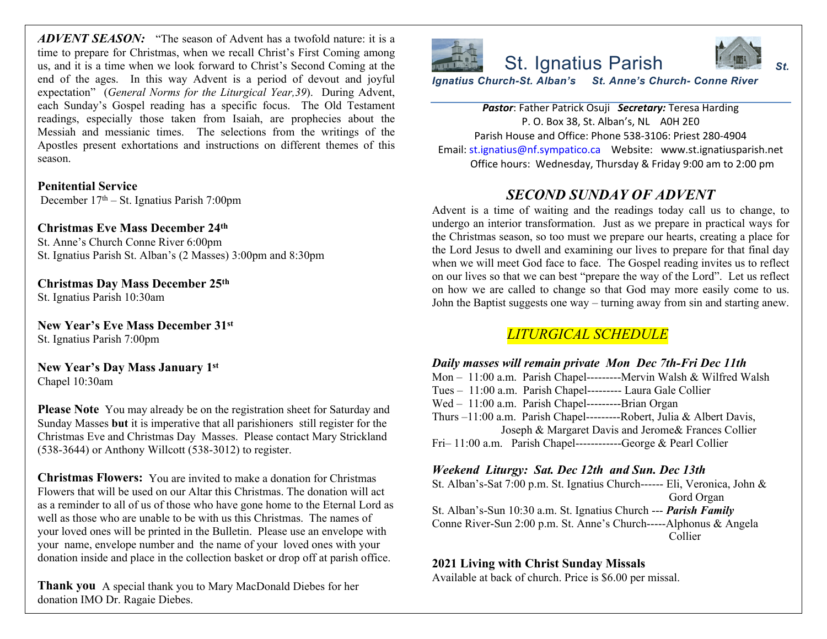*ADVENT SEASON:* "The season of Advent has a twofold nature: it is a time to prepare for Christmas, when we recall Christ's First Coming among us, and it is a time when we look forward to Christ's Second Coming at the end of the ages. In this way Advent is a period of devout and joyful expectation" (*General Norms for the Liturgical Year,39*). During Advent, each Sunday's Gospel reading has a specific focus. The Old Testament readings, especially those taken from Isaiah, are prophecies about the Messiah and messianic times. The selections from the writings of the Apostles present exhortations and instructions on different themes of this season.

**Penitential Service** December 17th – St. Ignatius Parish 7:00pm

**Christmas Eve Mass December 24th** St. Anne's Church Conne River 6:00pm

St. Ignatius Parish St. Alban's (2 Masses) 3:00pm and 8:30pm

**Christmas Day Mass December 25th** St. Ignatius Parish 10:30am

**New Year's Eve Mass December 31st** St. Ignatius Parish 7:00pm

**New Year's Day Mass January 1st** Chapel 10:30am

**Please Note** You may already be on the registration sheet for Saturday and Sunday Masses **but** it is imperative that all parishioners still register for the Christmas Eve and Christmas Day Masses. Please contact Mary Strickland (538-3644) or Anthony Willcott (538-3012) to register.

**Christmas Flowers:** You are invited to make a donation for Christmas Flowers that will be used on our Altar this Christmas. The donation will act as a reminder to all of us of those who have gone home to the Eternal Lord as well as those who are unable to be with us this Christmas. The names of your loved ones will be printed in the Bulletin. Please use an envelope with your name, envelope number and the name of your loved ones with your donation inside and place in the collection basket or drop off at parish office.

**Thank you** A special thank you to Mary MacDonald Diebes for her donation IMO Dr. Ragaie Diebes.



**Pastor: Father Patrick Osuji Secretary:** P. O. Box 38, St. Alban's, Parish House and Office: Phone 538 Email: st.ignatius@nf.sympatico.ca Webs Office hours: Wednesday, Thursday

## **SECOND SUNDAY C**

Advent is a time of waiting and the reading undergo an interior transformation. Just as the Christmas season, so too must we prepar the Lord Jesus to dwell and examining our l when we will meet God face to face. The Gospel reading  $\alpha$ on our lives so that we can best "prepare the on how we are called to change so that Go John the Baptist suggests one way – turning a

## $LITURGICAL \: SCHED$

### *Daily masses will remain private Mon*

Mon  $-11:00$  a.m. Parish Chapel---------Mer Tues  $-11:00$  a.m. Parish Chapel--------- Lau Wed - 11:00 a.m. Parish Chapel---------Bria Thurs  $-11:00$  a.m. Parish Chapel---------Rob Joseph & Margaret Davis and Fri- 11:00 a.m. Parish Chapel------------George Bear

*Weekend Liturgy: Sat. Dec 12th and S* St. Alban's-Sat 7:00 p.m. St. Ignatius Church-

St. Alban's-Sun 10:30 a.m. St. Ignatius Chur Conne River-Sun 2:00 p.m. St. Anne's Church-

## **2021 Living with Christ Sunday Missals**

Available at back of church. Price is \$6.00 per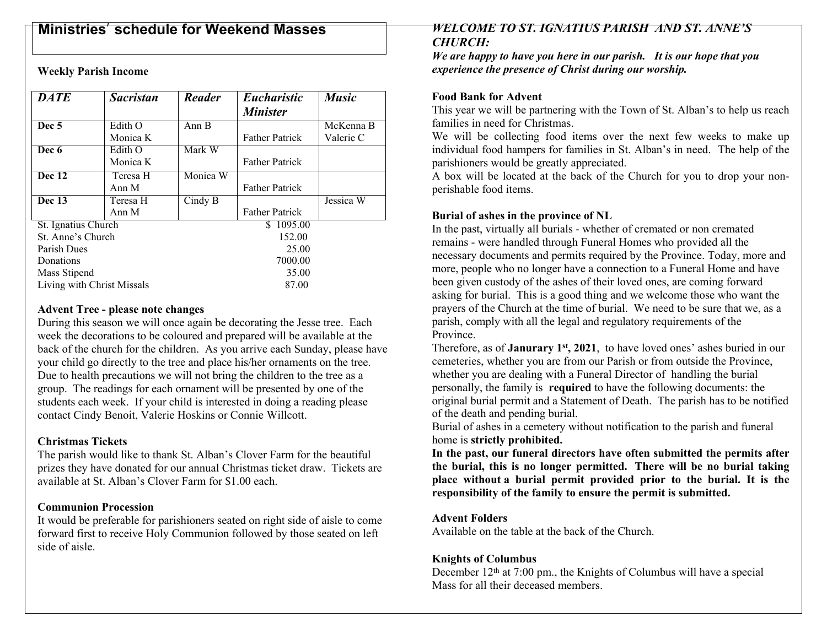# **Ministries**' **schedule for Weekend Masses**

**Weekly Parish Income**

| <b>DATE</b>                | <b>Sacristan</b> | <b>Reader</b> | <b>Eucharistic</b>    | <b>Music</b> |
|----------------------------|------------------|---------------|-----------------------|--------------|
|                            |                  |               | <b>Minister</b>       |              |
| Dec 5                      | Edith O          | Ann B         |                       | McKenna B    |
|                            | Monica K         |               | <b>Father Patrick</b> | Valerie C    |
| Dec 6                      | Edith O          | Mark W        |                       |              |
|                            | Monica K         |               | <b>Father Patrick</b> |              |
| <b>Dec 12</b>              | Teresa H         | Monica W      |                       |              |
|                            | Ann M            |               | <b>Father Patrick</b> |              |
| Dec 13                     | Teresa H         | Cindy B       |                       | Jessica W    |
|                            | Ann M            |               | <b>Father Patrick</b> |              |
| St. Ignatius Church        |                  |               | \$1095.00             |              |
| St. Anne's Church          |                  |               | 152.00                |              |
| Parish Dues                |                  |               | 25.00                 |              |
| Donations                  |                  |               | 7000.00               |              |
| Mass Stipend               |                  |               | 35.00                 |              |
| Living with Christ Missals |                  |               | 87.00                 |              |

#### **Advent Tree - please note changes**

During this season we will once again be decorating the Jesse tree. Each week the decorations to be coloured and prepared will be available at the back of the church for the children. As you arrive each Sunday, please have your child go directly to the tree and place his/her ornaments on the tree. Due to health precautions we will not bring the children to the tree as a group. The readings for each ornament will be presented by one of the students each week. If your child is interested in doing a reading please contact Cindy Benoit, Valerie Hoskins or Connie Willcott.

#### **Christmas Tickets**

The parish would like to thank St. Alban's Clover Farm for the beautiful prizes they have donated for our annual Christmas ticket draw. Tickets are available at St. Alban's Clover Farm for \$1.00 each.

#### **Communion Procession**

It would be preferable for parishioners seated on right side of aisle to come forward first to receive Holy Communion followed by those seated on left side of aisle.

#### *WELCOME TO ST. IGNATIUS PARISH AND ST. ANNE'S CHURCH:*

*We are happy to have you here in our parish. It is our hope that you experience the presence of Christ during our worship.*

#### **Food Bank for Advent**

This year we will be partnering with the Town of St. Alban's to help us reach families in need for Christmas.

We will be collecting food items over the next few weeks to make up individual food hampers for families in St. Alban's in need. The help of the parishioners would be greatly appreciated.

A box will be located at the back of the Church for you to drop your nonperishable food items.

#### **Burial of ashes in the province of NL**

In the past, virtually all burials - whether of cremated or non cremated remains - were handled through Funeral Homes who provided all the necessary documents and permits required by the Province. Today, more and more, people who no longer have a connection to a Funeral Home and have been given custody of the ashes of their loved ones, are coming forward asking for burial. This is a good thing and we welcome those who want the prayers of the Church at the time of burial. We need to be sure that we, as a parish, comply with all the legal and regulatory requirements of the Province.

Therefore, as of **Janurary 1st, 2021**, to have loved ones' ashes buried in our cemeteries, whether you are from our Parish or from outside the Province, whether you are dealing with a Funeral Director of handling the burial personally, the family is **required** to have the following documents: the original burial permit and a Statement of Death. The parish has to be notified of the death and pending burial.

Burial of ashes in a cemetery without notification to the parish and funeral home is **strictly prohibited.**

**In the past, our funeral directors have often submitted the permits after the burial, this is no longer permitted. There will be no burial taking place without a burial permit provided prior to the burial. It is the responsibility of the family to ensure the permit is submitted.**

#### **Advent Folders**

Available on the table at the back of the Church.

#### **Knights of Columbus**

December  $12<sup>th</sup>$  at 7:00 pm., the Knights of Columbus will have a special Mass for all their deceased members.